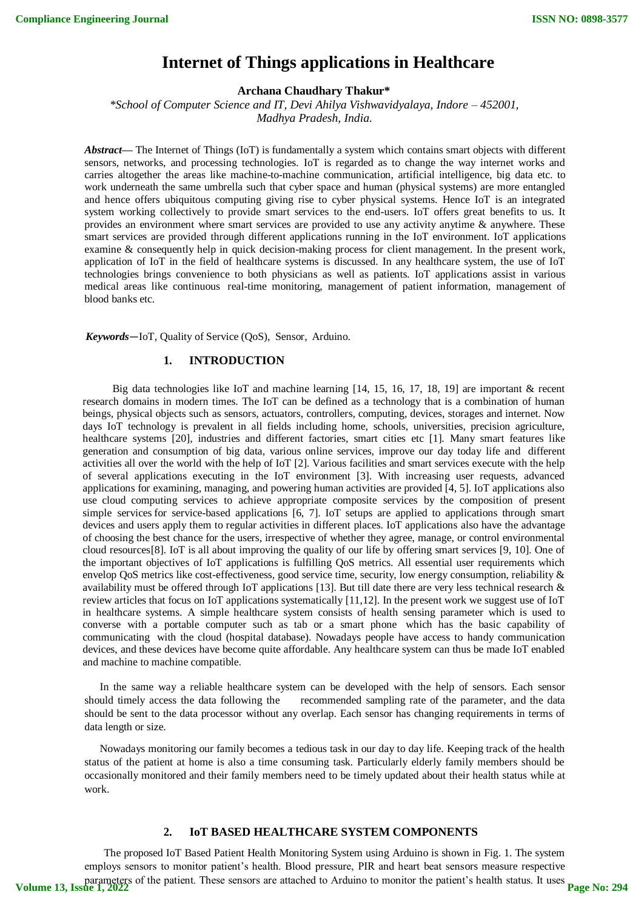# **Internet of Things applications in Healthcare**

# **Archana Chaudhary Thakur\***

*\*School of Computer Science and IT, Devi Ahilya Vishwavidyalaya, Indore – 452001, Madhya Pradesh, India*.

*Abstract***—** The Internet of Things (IoT) is fundamentally a system which contains smart objects with different sensors, networks, and processing technologies. IoT is regarded as to change the way internet works and carries altogether the areas like machine-to-machine communication, artificial intelligence, big data etc. to work underneath the same umbrella such that cyber space and human (physical systems) are more entangled and hence offers ubiquitous computing giving rise to cyber physical systems. Hence IoT is an integrated system working collectively to provide smart services to the end-users. IoT offers great benefits to us. It provides an environment where smart services are provided to use any activity anytime & anywhere. These smart services are provided through different applications running in the IoT environment. IoT applications examine & consequently help in quick decision-making process for client management. In the present work, application of IoT in the field of healthcare systems is discussed. In any healthcare system, the use of IoT technologies brings convenience to both physicians as well as patients. IoT applications assist in various medical areas like continuous real-time monitoring, management of patient information, management of blood banks etc.

*Keywords*—IoT, Quality of Service (QoS), Sensor, Arduino.

## **1. INTRODUCTION**

Big data technologies like IoT and machine learning [14, 15, 16, 17, 18, 19] are important & recent research domains in modern times. The IoT can be defined as a technology that is a combination of human beings, physical objects such as sensors, actuators, controllers, computing, devices, storages and internet. Now days IoT technology is prevalent in all fields including home, schools, universities, precision agriculture, healthcare systems [20], industries and different factories, smart cities etc [1]. Many smart features like generation and consumption of big data, various online services, improve our day today life and different activities all over the world with the help of IoT [2]. Various facilities and smart services execute with the help of several applications executing in the IoT environment [3]. With increasing user requests, advanced applications for examining, managing, and powering human activities are provided [4, 5]. IoT applications also use cloud computing services to achieve appropriate composite services by the composition of present simple services for service-based applications [6, 7]. IoT setups are applied to applications through smart devices and users apply them to regular activities in different places. IoT applications also have the advantage of choosing the best chance for the users, irrespective of whether they agree, manage, or control environmental cloud resources[8]. IoT is all about improving the quality of our life by offering smart services [9, 10]. One of the important objectives of IoT applications is fulfilling QoS metrics. All essential user requirements which envelop QoS metrics like cost-effectiveness, good service time, security, low energy consumption, reliability & availability must be offered through IoT applications [13]. But till date there are very less technical research & review articles that focus on IoT applications systematically [11,12]. In the present work we suggest use of IoT in healthcare systems. A simple healthcare system consists of health sensing parameter which is used to converse with a portable computer such as tab or a smart phone which has the basic capability of communicating with the cloud (hospital database). Nowadays people have access to handy communication devices, and these devices have become quite affordable. Any healthcare system can thus be made IoT enabled and machine to machine compatible.

In the same way a reliable healthcare system can be developed with the help of sensors. Each sensor should timely access the data following the recommended sampling rate of the parameter, and the data should be sent to the data processor without any overlap. Each sensor has changing requirements in terms of data length or size.

Nowadays monitoring our family becomes a tedious task in our day to day life. Keeping track of the health status of the patient at home is also a time consuming task. Particularly elderly family members should be occasionally monitored and their family members need to be timely updated about their health status while at work.

# **2. IoT BASED HEALTHCARE SYSTEM COMPONENTS**

The proposed IoT Based Patient Health Monitoring System using Arduino is shown in Fig. 1. The system employs sensors to monitor patient's health. Blood pressure, PIR and heart beat sensors measure respective parameters of the patient. These sensors are attached to Arduino to monitor the patient's health status. It uses **Volume 13, Issue 1, 2022 Page No: 294**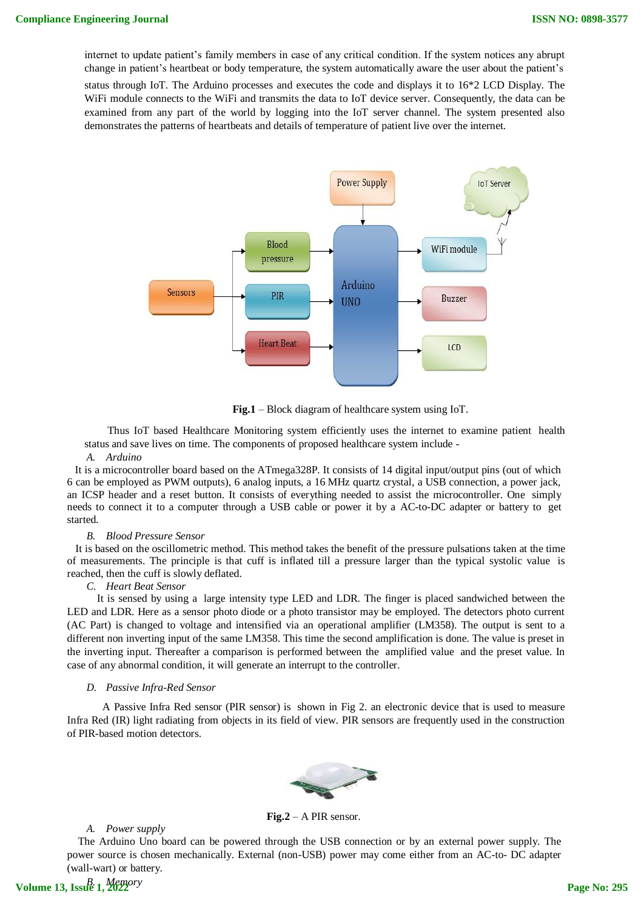internet to update patient's family members in case of any critical condition. If the system notices any abrupt change in patient's heartbeat or body temperature, the system automatically aware the user about the patient's

status through IoT. The Arduino processes and executes the code and displays it to 16\*2 LCD Display. The WiFi module connects to the WiFi and transmits the data to IoT device server. Consequently, the data can be examined from any part of the world by logging into the IoT server channel. The system presented also demonstrates the patterns of heartbeats and details of temperature of patient live over the internet.



**Fig.1** – Block diagram of healthcare system using IoT.

Thus IoT based Healthcare Monitoring system efficiently uses the internet to examine patient health status and save lives on time. The components of proposed healthcare system include -

#### *A. Arduino*

It is a microcontroller board based on the ATmega328P. It consists of 14 digital input/output pins (out of which 6 can be employed as PWM outputs), 6 analog inputs, a 16 MHz quartz crystal, a USB connection, a power jack, an ICSP header and a reset button. It consists of everything needed to assist the microcontroller. One simply needs to connect it to a computer through a USB cable or power it by a AC-to-DC adapter or battery to get started.

#### *B. Blood Pressure Sensor*

It is based on the oscillometric method. This method takes the benefit of the pressure pulsations taken at the time of measurements. The principle is that cuff is inflated till a pressure larger than the typical systolic value is reached, then the cuff is slowly deflated.

#### *C. Heart Beat Sensor*

It is sensed by using a large intensity type LED and LDR. The finger is placed sandwiched between the LED and LDR. Here as a sensor photo diode or a photo transistor may be employed. The detectors photo current (AC Part) is changed to voltage and intensified via an operational amplifier (LM358). The output is sent to a different non inverting input of the same LM358. This time the second amplification is done. The value is preset in the inverting input. Thereafter a comparison is performed between the amplified value and the preset value. In case of any abnormal condition, it will generate an interrupt to the controller.

#### *D. Passive Infra-Red Sensor*

A Passive Infra Red sensor (PIR sensor) is shown in Fig 2. an electronic device that is used to measure Infra Red (IR) light radiating from objects in its field of view. PIR sensors are frequently used in the construction of PIR-based motion detectors.



**Fig.2** – A PIR sensor.

*A. Power supply*

The Arduino Uno board can be powered through the USB connection or by an external power supply. The power source is chosen mechanically. External (non-USB) power may come either from an AC-to- DC adapter (wall-wart) or battery.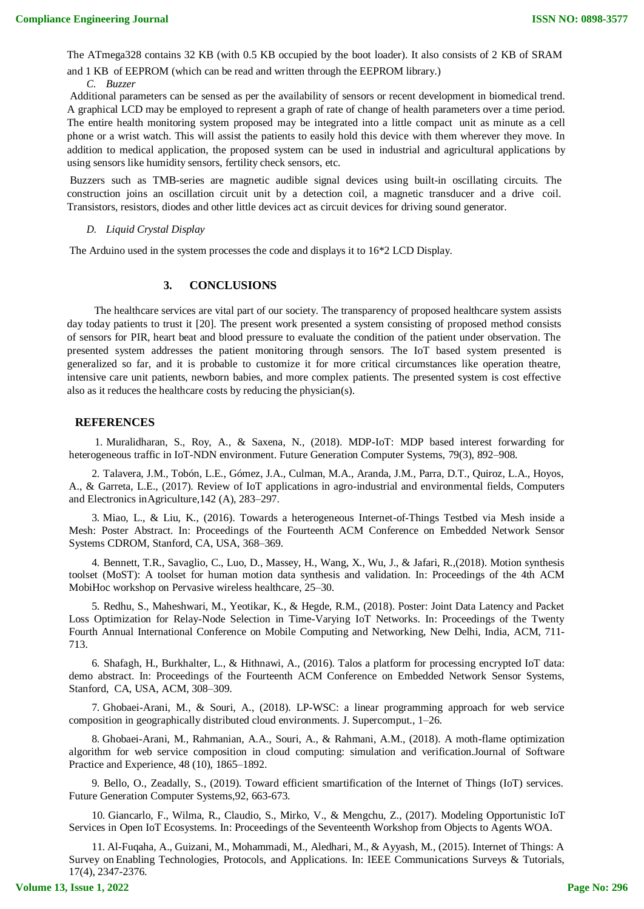The ATmega328 contains 32 KB (with 0.5 KB occupied by the boot loader). It also consists of 2 KB of SRAM

and 1 KB of EEPROM (which can be read and written through the EEPROM library.)

*C. Buzzer*

Additional parameters can be sensed as per the availability of sensors or recent development in biomedical trend. A graphical LCD may be employed to represent a graph of rate of change of health parameters over a time period. The entire health monitoring system proposed may be integrated into a little compact unit as minute as a cell phone or a wrist watch. This will assist the patients to easily hold this device with them wherever they move. In addition to medical application, the proposed system can be used in industrial and agricultural applications by using sensors like humidity sensors, fertility check sensors, etc.

Buzzers such as TMB-series are magnetic audible signal devices using built-in oscillating circuits. The construction joins an oscillation circuit unit by a detection coil, a magnetic transducer and a drive coil. Transistors, resistors, diodes and other little devices act as circuit devices for driving sound generator.

#### *D. Liquid Crystal Display*

The Arduino used in the system processes the code and displays it to 16\*2 LCD Display.

## **3. CONCLUSIONS**

The healthcare services are vital part of our society. The transparency of proposed healthcare system assists day today patients to trust it [20]. The present work presented a system consisting of proposed method consists of sensors for PIR, heart beat and blood pressure to evaluate the condition of the patient under observation. The presented system addresses the patient monitoring through sensors. The IoT based system presented is generalized so far, and it is probable to customize it for more critical circumstances like operation theatre, intensive care unit patients, newborn babies, and more complex patients. The presented system is cost effective also as it reduces the healthcare costs by reducing the physician(s).

#### **REFERENCES**

1. Muralidharan, S., Roy, A., & Saxena, N., (2018). MDP-IoT: MDP based interest forwarding for heterogeneous traffic in IoT-NDN environment. Future Generation Computer Systems, 79(3), 892–908.

2. Talavera, J.M., Tobón, L.E., Gómez, J.A., Culman, M.A., Aranda, J.M., Parra, D.T., Quiroz, L.A., Hoyos, A., & Garreta, L.E., (2017). Review of IoT applications in agro-industrial and environmental fields, Computers and Electronics inAgriculture,142 (A), 283–297.

3. Miao, L., & Liu, K., (2016). Towards a heterogeneous Internet-of-Things Testbed via Mesh inside a Mesh: Poster Abstract. In: Proceedings of the Fourteenth ACM Conference on Embedded Network Sensor Systems CDROM, Stanford, CA, USA, 368–369.

4. Bennett, T.R., Savaglio, C., Luo, D., Massey, H., Wang, X., Wu, J., & Jafari, R.,(2018). Motion synthesis toolset (MoST): A toolset for human motion data synthesis and validation. In: Proceedings of the 4th ACM MobiHoc workshop on Pervasive wireless healthcare, 25–30.

5. Redhu, S., Maheshwari, M., Yeotikar, K., & Hegde, R.M., (2018). Poster: Joint Data Latency and Packet Loss Optimization for Relay-Node Selection in Time-Varying IoT Networks. In: Proceedings of the Twenty Fourth Annual International Conference on Mobile Computing and Networking, New Delhi, India, ACM, 711- 713.

6. Shafagh, H., Burkhalter, L., & Hithnawi, A., (2016). Talos a platform for processing encrypted IoT data: demo abstract. In: Proceedings of the Fourteenth ACM Conference on Embedded Network Sensor Systems, Stanford, CA, USA, ACM, 308–309.

7. Ghobaei-Arani, M., & Souri, A., (2018). LP-WSC: a linear programming approach for web service composition in geographically distributed cloud environments. J. Supercomput., 1–26.

8. Ghobaei-Arani, M., Rahmanian, A.A., Souri, A., & Rahmani, A.M., (2018). A moth-flame optimization algorithm for web service composition in cloud computing: simulation and verification.Journal of Software Practice and Experience, 48 (10), 1865–1892.

9. Bello, O., Zeadally, S., (2019). Toward efficient smartification of the Internet of Things (IoT) services. Future Generation Computer Systems,92, 663-673.

10. Giancarlo, F., Wilma, R., Claudio, S., Mirko, V., & Mengchu, Z., (2017). Modeling Opportunistic IoT Services in Open IoT Ecosystems. In: Proceedings of the Seventeenth Workshop from Objects to Agents WOA.

11. Al-Fuqaha, A., Guizani, M., Mohammadi, M., Aledhari, M., & Ayyash, M., (2015). Internet of Things: A Survey on Enabling Technologies, Protocols, and Applications. In: IEEE Communications Surveys & Tutorials, 17(4), 2347-2376.